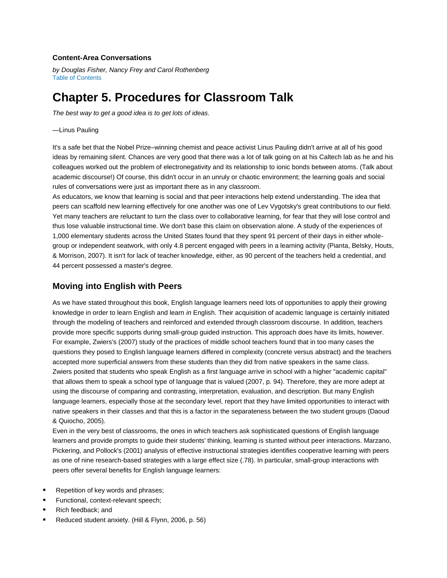#### **Content-Area Conversations**

*by Douglas Fisher, Nancy Frey and Carol Rothenberg* [Table of Contents](http://www.ascd.org/publications/books/108035.aspx)

# **Chapter 5. Procedures for Classroom Talk**

*The best way to get a good idea is to get lots of ideas.*

—Linus Pauling

It's a safe bet that the Nobel Prize–winning chemist and peace activist Linus Pauling didn't arrive at all of his good ideas by remaining silent. Chances are very good that there was a lot of talk going on at his Caltech lab as he and his colleagues worked out the problem of electronegativity and its relationship to ionic bonds between atoms. (Talk about academic discourse!) Of course, this didn't occur in an unruly or chaotic environment; the learning goals and social rules of conversations were just as important there as in any classroom.

As educators, we know that learning is social and that peer interactions help extend understanding. The idea that peers can scaffold new learning effectively for one another was one of Lev Vygotsky's great contributions to our field. Yet many teachers are reluctant to turn the class over to collaborative learning, for fear that they will lose control and thus lose valuable instructional time. We don't base this claim on observation alone. A study of the experiences of 1,000 elementary students across the United States found that they spent 91 percent of their days in either wholegroup or independent seatwork, with only 4.8 percent engaged with peers in a learning activity (Pianta, Belsky, Houts, & Morrison, 2007). It isn't for lack of teacher knowledge, either, as 90 percent of the teachers held a credential, and 44 percent possessed a master's degree.

### **Moving into English with Peers**

As we have stated throughout this book, English language learners need lots of opportunities to apply their growing knowledge in order to learn English and learn *in* English. Their acquisition of academic language is certainly initiated through the modeling of teachers and reinforced and extended through classroom discourse. In addition, teachers provide more specific supports during small-group guided instruction. This approach does have its limits, however. For example, Zwiers's (2007) study of the practices of middle school teachers found that in too many cases the questions they posed to English language learners differed in complexity (concrete versus abstract) and the teachers accepted more superficial answers from these students than they did from native speakers in the same class. Zwiers posited that students who speak English as a first language arrive in school with a higher "academic capital" that allows them to speak a school type of language that is valued (2007, p. 94). Therefore, they are more adept at using the discourse of comparing and contrasting, interpretation, evaluation, and description. But many English language learners, especially those at the secondary level, report that they have limited opportunities to interact with native speakers in their classes and that this is a factor in the separateness between the two student groups (Daoud & Quiocho, 2005).

Even in the very best of classrooms, the ones in which teachers ask sophisticated questions of English language learners and provide prompts to guide their students' thinking, learning is stunted without peer interactions. Marzano, Pickering, and Pollock's (2001) analysis of effective instructional strategies identifies cooperative learning with peers as one of nine research-based strategies with a large effect size (.78). In particular, small-group interactions with peers offer several benefits for English language learners:

- **Repetition of key words and phrases;**
- **Functional, context-relevant speech;**
- Rich feedback; and
- Reduced student anxiety. (Hill & Flynn, 2006, p. 56)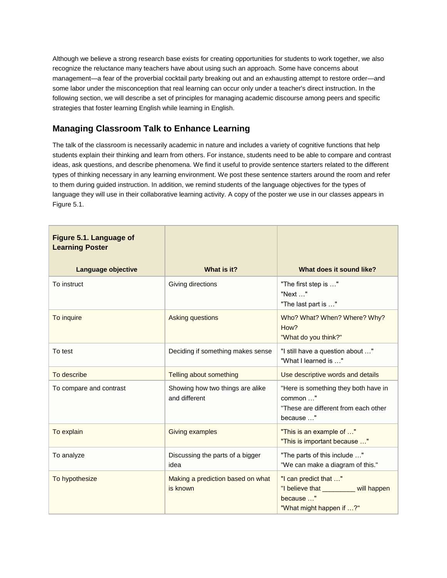Although we believe a strong research base exists for creating opportunities for students to work together, we also recognize the reluctance many teachers have about using such an approach. Some have concerns about management—a fear of the proverbial cocktail party breaking out and an exhausting attempt to restore order—and some labor under the misconception that real learning can occur only under a teacher's direct instruction. In the following section, we will describe a set of principles for managing academic discourse among peers and specific strategies that foster learning English while learning in English.

# **Managing Classroom Talk to Enhance Learning**

The talk of the classroom is necessarily academic in nature and includes a variety of cognitive functions that help students explain their thinking and learn from others. For instance, students need to be able to compare and contrast ideas, ask questions, and describe phenomena. We find it useful to provide sentence starters related to the different types of thinking necessary in any learning environment. We post these sentence starters around the room and refer to them during guided instruction. In addition, we remind students of the language objectives for the types of language they will use in their collaborative learning activity. A copy of the poster we use in our classes appears in Figure 5.1.

| Figure 5.1. Language of<br><b>Learning Poster</b> |                                                   |                                                                                                        |
|---------------------------------------------------|---------------------------------------------------|--------------------------------------------------------------------------------------------------------|
| Language objective                                | What is it?                                       | What does it sound like?                                                                               |
| To instruct                                       | Giving directions                                 | "The first step is "<br>"Next "<br>"The last part is "                                                 |
| To inquire                                        | <b>Asking questions</b>                           | Who? What? When? Where? Why?<br>How?<br>"What do you think?"                                           |
| To test                                           | Deciding if something makes sense                 | "I still have a question about "<br>"What I learned is "                                               |
| To describe                                       | Telling about something                           | Use descriptive words and details                                                                      |
| To compare and contrast                           | Showing how two things are alike<br>and different | "Here is something they both have in<br>common "<br>"These are different from each other<br>because "  |
| To explain                                        | <b>Giving examples</b>                            | "This is an example of "<br>"This is important because "                                               |
| To analyze                                        | Discussing the parts of a bigger<br>idea          | "The parts of this include "<br>"We can make a diagram of this."                                       |
| To hypothesize                                    | Making a prediction based on what<br>is known     | "I can predict that "<br>"I believe that ________ will happen<br>because "<br>"What might happen if ?" |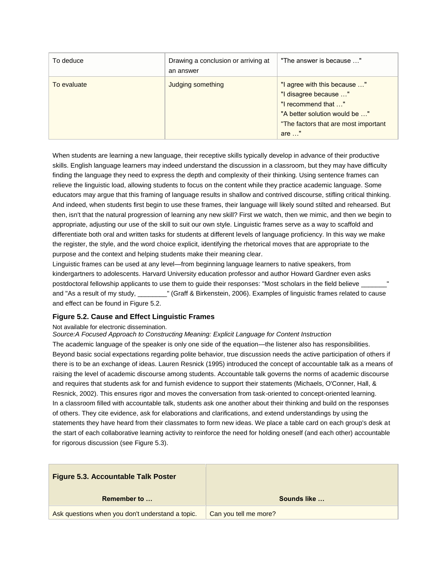| To deduce   | Drawing a conclusion or arriving at<br>an answer | "The answer is because "                                                                                                                                               |
|-------------|--------------------------------------------------|------------------------------------------------------------------------------------------------------------------------------------------------------------------------|
| To evaluate | Judging something                                | "I agree with this because "<br>"I disagree because "<br>"I recommend that "<br>"A better solution would be "<br>"The factors that are most important<br>$are \dots$ " |

When students are learning a new language, their receptive skills typically develop in advance of their productive skills. English language learners may indeed understand the discussion in a classroom, but they may have difficulty finding the language they need to express the depth and complexity of their thinking. Using sentence frames can relieve the linguistic load, allowing students to focus on the content while they practice academic language. Some educators may argue that this framing of language results in shallow and contrived discourse, stifling critical thinking. And indeed, when students first begin to use these frames, their language will likely sound stilted and rehearsed. But then, isn't that the natural progression of learning any new skill? First we watch, then we mimic, and then we begin to appropriate, adjusting our use of the skill to suit our own style. Linguistic frames serve as a way to scaffold and differentiate both oral and written tasks for students at different levels of language proficiency. In this way we make the register, the style, and the word choice explicit, identifying the rhetorical moves that are appropriate to the purpose and the context and helping students make their meaning clear.

Linguistic frames can be used at any level—from beginning language learners to native speakers, from kindergartners to adolescents. Harvard University education professor and author Howard Gardner even asks postdoctoral fellowship applicants to use them to quide their responses: "Most scholars in the field believe and "As a result of my study, \_\_\_\_\_\_\_\_" (Graff & Birkenstein, 2006). Examples of linguistic frames related to cause and effect can be found in Figure 5.2.

#### **Figure 5.2. Cause and Effect Linguistic Frames**

#### Not available for electronic dissemination.

*Source:A Focused Approach to Constructing Meaning: Explicit Language for Content Instruction*

The academic language of the speaker is only one side of the equation—the listener also has responsibilities. Beyond basic social expectations regarding polite behavior, true discussion needs the active participation of others if there is to be an exchange of ideas. Lauren Resnick (1995) introduced the concept of accountable talk as a means of raising the level of academic discourse among students. Accountable talk governs the norms of academic discourse and requires that students ask for and furnish evidence to support their statements (Michaels, O'Conner, Hall, & Resnick, 2002). This ensures rigor and moves the conversation from task-oriented to concept-oriented learning. In a classroom filled with accountable talk, students ask one another about their thinking and build on the responses of others. They cite evidence, ask for elaborations and clarifications, and extend understandings by using the statements they have heard from their classmates to form new ideas. We place a table card on each group's desk at the start of each collaborative learning activity to reinforce the need for holding oneself (and each other) accountable for rigorous discussion (see Figure 5.3).

| <b>Figure 5.3. Accountable Talk Poster</b><br>Remember to | Sounds like           |
|-----------------------------------------------------------|-----------------------|
| Ask questions when you don't understand a topic.          | Can you tell me more? |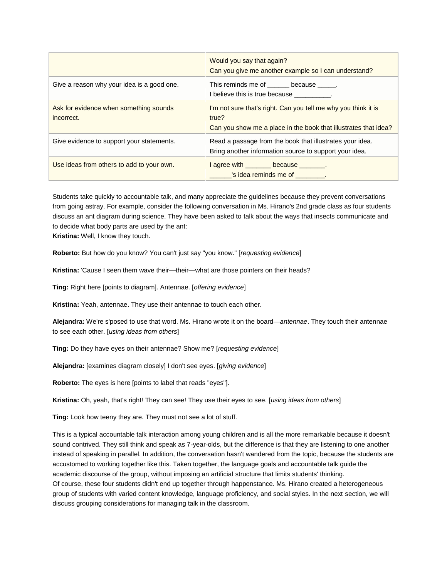|                                                      | Would you say that again?<br>Can you give me another example so I can understand?                                                          |
|------------------------------------------------------|--------------------------------------------------------------------------------------------------------------------------------------------|
| Give a reason why your idea is a good one.           | This reminds me of ______ because _____.<br>I believe this is true because Theorem 1.                                                      |
| Ask for evidence when something sounds<br>incorrect. | I'm not sure that's right. Can you tell me why you think it is<br>true?<br>Can you show me a place in the book that illustrates that idea? |
| Give evidence to support your statements.            | Read a passage from the book that illustrates your idea.<br>Bring another information source to support your idea.                         |
| Use ideas from others to add to your own.            | lagree with ________ because _______.<br>s idea reminds me of the state of                                                                 |

Students take quickly to accountable talk, and many appreciate the guidelines because they prevent conversations from going astray. For example, consider the following conversation in Ms. Hirano's 2nd grade class as four students discuss an ant diagram during science. They have been asked to talk about the ways that insects communicate and to decide what body parts are used by the ant:

**Kristina:** Well, I know they touch.

**Roberto:** But how do you know? You can't just say "you know." [*requesting evidence*]

**Kristina:** 'Cause I seen them wave their—their—what are those pointers on their heads?

**Ting:** Right here [points to diagram]. Antennae. [*offering evidence*]

**Kristina:** Yeah, antennae. They use their antennae to touch each other.

**Alejandra:** We're s'posed to use that word. Ms. Hirano wrote it on the board—*antennae*. They touch their antennae to see each other. [*using ideas from others*]

**Ting:** Do they have eyes on their antennae? Show me? [*requesting evidence*]

**Alejandra:** [examines diagram closely] I don't see eyes. [*giving evidence*]

**Roberto:** The eyes is here [points to label that reads "eyes"].

**Kristina:** Oh, yeah, that's right! They can see! They use their eyes to see. [*using ideas from others*]

**Ting:** Look how teeny they are. They must not see a lot of stuff.

This is a typical accountable talk interaction among young children and is all the more remarkable because it doesn't sound contrived. They still think and speak as 7-year-olds, but the difference is that they are listening to one another instead of speaking in parallel. In addition, the conversation hasn't wandered from the topic, because the students are accustomed to working together like this. Taken together, the language goals and accountable talk guide the academic discourse of the group, without imposing an artificial structure that limits students' thinking. Of course, these four students didn't end up together through happenstance. Ms. Hirano created a heterogeneous group of students with varied content knowledge, language proficiency, and social styles. In the next section, we will discuss grouping considerations for managing talk in the classroom.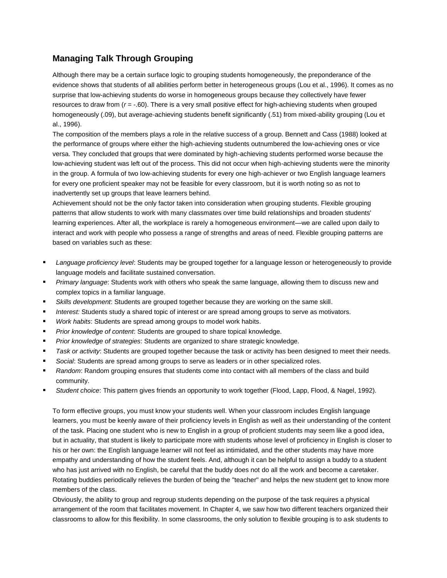# **Managing Talk Through Grouping**

Although there may be a certain surface logic to grouping students homogeneously, the preponderance of the evidence shows that students of all abilities perform better in heterogeneous groups (Lou et al., 1996). It comes as no surprise that low-achieving students do worse in homogeneous groups because they collectively have fewer resources to draw from ( $r = -.60$ ). There is a very small positive effect for high-achieving students when grouped homogeneously (.09), but average-achieving students benefit significantly (.51) from mixed-ability grouping (Lou et al., 1996).

The composition of the members plays a role in the relative success of a group. Bennett and Cass (1988) looked at the performance of groups where either the high-achieving students outnumbered the low-achieving ones or vice versa. They concluded that groups that were dominated by high-achieving students performed worse because the low-achieving student was left out of the process. This did not occur when high-achieving students were the minority in the group. A formula of two low-achieving students for every one high-achiever or two English language learners for every one proficient speaker may not be feasible for every classroom, but it is worth noting so as not to inadvertently set up groups that leave learners behind.

Achievement should not be the only factor taken into consideration when grouping students. Flexible grouping patterns that allow students to work with many classmates over time build relationships and broaden students' learning experiences. After all, the workplace is rarely a homogeneous environment—we are called upon daily to interact and work with people who possess a range of strengths and areas of need. Flexible grouping patterns are based on variables such as these:

- *Language proficiency level*: Students may be grouped together for a language lesson or heterogeneously to provide language models and facilitate sustained conversation.
- *Primary language*: Students work with others who speak the same language, allowing them to discuss new and complex topics in a familiar language.
- *Skills development*: Students are grouped together because they are working on the same skill.
- *Interest:* Students study a shared topic of interest or are spread among groups to serve as motivators.
- *Work habits*: Students are spread among groups to model work habits.
- *Prior knowledge of content*: Students are grouped to share topical knowledge.
- *Prior knowledge of strategies*: Students are organized to share strategic knowledge.
- *Task or activity*: Students are grouped together because the task or activity has been designed to meet their needs.
- **Social:** Students are spread among groups to serve as leaders or in other specialized roles.
- *Random*: Random grouping ensures that students come into contact with all members of the class and build community.
- *Student choice*: This pattern gives friends an opportunity to work together (Flood, Lapp, Flood, & Nagel, 1992).

To form effective groups, you must know your students well. When your classroom includes English language learners, you must be keenly aware of their proficiency levels in English as well as their understanding of the content of the task. Placing one student who is new to English in a group of proficient students may seem like a good idea, but in actuality, that student is likely to participate more with students whose level of proficiency in English is closer to his or her own: the English language learner will not feel as intimidated, and the other students may have more empathy and understanding of how the student feels. And, although it can be helpful to assign a buddy to a student who has just arrived with no English, be careful that the buddy does not do all the work and become a caretaker. Rotating buddies periodically relieves the burden of being the "teacher" and helps the new student get to know more members of the class.

Obviously, the ability to group and regroup students depending on the purpose of the task requires a physical arrangement of the room that facilitates movement. In Chapter 4, we saw how two different teachers organized their classrooms to allow for this flexibility. In some classrooms, the only solution to flexible grouping is to ask students to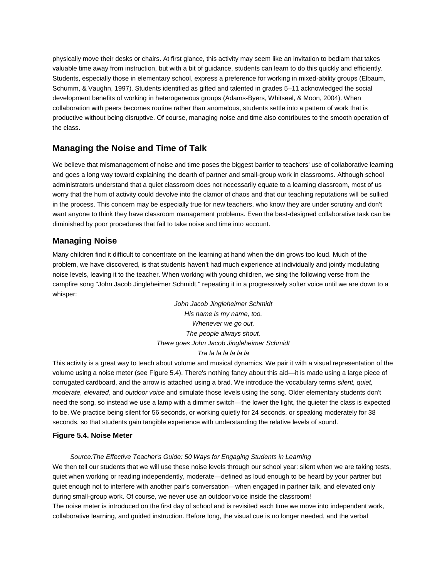physically move their desks or chairs. At first glance, this activity may seem like an invitation to bedlam that takes valuable time away from instruction, but with a bit of guidance, students can learn to do this quickly and efficiently. Students, especially those in elementary school, express a preference for working in mixed-ability groups (Elbaum, Schumm, & Vaughn, 1997). Students identified as gifted and talented in grades 5–11 acknowledged the social development benefits of working in heterogeneous groups (Adams-Byers, Whitseel, & Moon, 2004). When collaboration with peers becomes routine rather than anomalous, students settle into a pattern of work that is productive without being disruptive. Of course, managing noise and time also contributes to the smooth operation of the class.

# **Managing the Noise and Time of Talk**

We believe that mismanagement of noise and time poses the biggest barrier to teachers' use of collaborative learning and goes a long way toward explaining the dearth of partner and small-group work in classrooms. Although school administrators understand that a quiet classroom does not necessarily equate to a learning classroom, most of us worry that the hum of activity could devolve into the clamor of chaos and that our teaching reputations will be sullied in the process. This concern may be especially true for new teachers, who know they are under scrutiny and don't want anyone to think they have classroom management problems. Even the best-designed collaborative task can be diminished by poor procedures that fail to take noise and time into account.

#### **Managing Noise**

Many children find it difficult to concentrate on the learning at hand when the din grows too loud. Much of the problem, we have discovered, is that students haven't had much experience at individually and jointly modulating noise levels, leaving it to the teacher. When working with young children, we sing the following verse from the campfire song "John Jacob Jingleheimer Schmidt," repeating it in a progressively softer voice until we are down to a whisper:

> *John Jacob Jingleheimer Schmidt His name is my name, too. Whenever we go out, The people always shout, There goes John Jacob Jingleheimer Schmidt Tra la la la la la la*

This activity is a great way to teach about volume and musical dynamics. We pair it with a visual representation of the volume using a noise meter (see Figure 5.4). There's nothing fancy about this aid—it is made using a large piece of corrugated cardboard, and the arrow is attached using a brad. We introduce the vocabulary terms *silent, quiet, moderate, elevated*, and *outdoor voice* and simulate those levels using the song. Older elementary students don't need the song, so instead we use a lamp with a dimmer switch—the lower the light, the quieter the class is expected to be. We practice being silent for 56 seconds, or working quietly for 24 seconds, or speaking moderately for 38 seconds, so that students gain tangible experience with understanding the relative levels of sound.

#### **Figure 5.4. Noise Meter**

*Source:The Effective Teacher's Guide: 50 Ways for Engaging Students in Learning*

We then tell our students that we will use these noise levels through our school year: silent when we are taking tests, quiet when working or reading independently, moderate—defined as loud enough to be heard by your partner but quiet enough not to interfere with another pair's conversation—when engaged in partner talk, and elevated only during small-group work. Of course, we never use an outdoor voice inside the classroom!

The noise meter is introduced on the first day of school and is revisited each time we move into independent work, collaborative learning, and guided instruction. Before long, the visual cue is no longer needed, and the verbal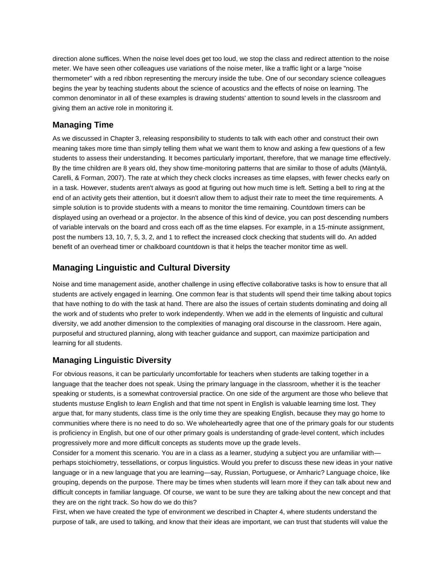direction alone suffices. When the noise level does get too loud, we stop the class and redirect attention to the noise meter. We have seen other colleagues use variations of the noise meter, like a traffic light or a large "noise thermometer" with a red ribbon representing the mercury inside the tube. One of our secondary science colleagues begins the year by teaching students about the science of acoustics and the effects of noise on learning. The common denominator in all of these examples is drawing students' attention to sound levels in the classroom and giving them an active role in monitoring it.

### **Managing Time**

As we discussed in Chapter 3, releasing responsibility to students to talk with each other and construct their own meaning takes more time than simply telling them what we want them to know and asking a few questions of a few students to assess their understanding. It becomes particularly important, therefore, that we manage time effectively. By the time children are 8 years old, they show time-monitoring patterns that are similar to those of adults (Mäntylä, Carelli, & Forman, 2007). The rate at which they check clocks increases as time elapses, with fewer checks early on in a task. However, students aren't always as good at figuring out how much time is left. Setting a bell to ring at the end of an activity gets their attention, but it doesn't allow them to adjust their rate to meet the time requirements. A simple solution is to provide students with a means to monitor the time remaining. Countdown timers can be displayed using an overhead or a projector. In the absence of this kind of device, you can post descending numbers of variable intervals on the board and cross each off as the time elapses. For example, in a 15-minute assignment, post the numbers 13, 10, 7, 5, 3, 2, and 1 to reflect the increased clock checking that students will do. An added benefit of an overhead timer or chalkboard countdown is that it helps the teacher monitor time as well.

### **Managing Linguistic and Cultural Diversity**

Noise and time management aside, another challenge in using effective collaborative tasks is how to ensure that all students are actively engaged in learning. One common fear is that students will spend their time talking about topics that have nothing to do with the task at hand. There are also the issues of certain students dominating and doing all the work and of students who prefer to work independently. When we add in the elements of linguistic and cultural diversity, we add another dimension to the complexities of managing oral discourse in the classroom. Here again, purposeful and structured planning, along with teacher guidance and support, can maximize participation and learning for all students.

### **Managing Linguistic Diversity**

For obvious reasons, it can be particularly uncomfortable for teachers when students are talking together in a language that the teacher does not speak. Using the primary language in the classroom, whether it is the teacher speaking or students, is a somewhat controversial practice. On one side of the argument are those who believe that students must*use* English to *learn* English and that time not spent in English is valuable learning time lost. They argue that, for many students, class time is the only time they are speaking English, because they may go home to communities where there is no need to do so. We wholeheartedly agree that one of the primary goals for our students is proficiency in English, but one of our other primary goals is understanding of grade-level content, which includes progressively more and more difficult concepts as students move up the grade levels.

Consider for a moment this scenario. You are in a class as a learner, studying a subject you are unfamiliar with perhaps stoichiometry, tessellations, or corpus linguistics. Would you prefer to discuss these new ideas in your native language or in a new language that you are learning—say, Russian, Portuguese, or Amharic? Language choice, like grouping, depends on the purpose. There may be times when students will learn more if they can talk about new and difficult concepts in familiar language. Of course, we want to be sure they are talking about the new concept and that they are on the right track. So how do we do this?

First, when we have created the type of environment we described in Chapter 4, where students understand the purpose of talk, are used to talking, and know that their ideas are important, we can trust that students will value the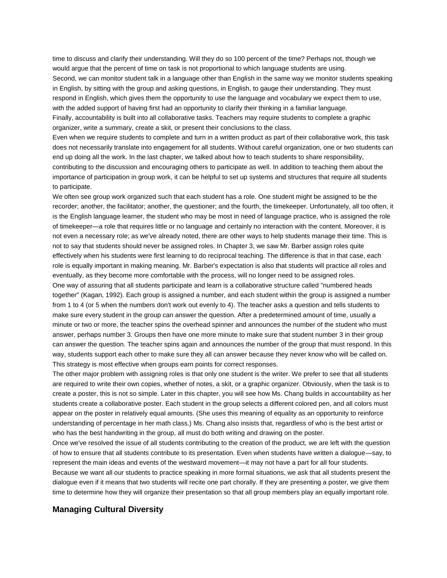time to discuss and clarify their understanding. Will they do so 100 percent of the time? Perhaps not, though we would argue that the percent of time on task is not proportional to which language students are using. Second, we can monitor student talk in a language other than English in the same way we monitor students speaking in English, by sitting with the group and asking questions, in English, to gauge their understanding. They must respond in English, which gives them the opportunity to use the language and vocabulary we expect them to use, with the added support of having first had an opportunity to clarify their thinking in a familiar language. Finally, accountability is built into all collaborative tasks. Teachers may require students to complete a graphic organizer, write a summary, create a skit, or present their conclusions to the class.

Even when we require students to complete and turn in a written product as part of their collaborative work, this task does not necessarily translate into engagement for all students. Without careful organization, one or two students can end up doing all the work. In the last chapter, we talked about how to teach students to share responsibility, contributing to the discussion and encouraging others to participate as well. In addition to teaching them about the importance of participation in group work, it can be helpful to set up systems and structures that require all students to participate.

We often see group work organized such that each student has a role. One student might be assigned to be the recorder; another, the facilitator; another, the questioner; and the fourth, the timekeeper. Unfortunately, all too often, it is the English language learner, the student who may be most in need of language practice, who is assigned the role of timekeeper—a role that requires little or no language and certainly no interaction with the content. Moreover, it is not even a necessary role; as we've already noted, there are other ways to help students manage their time. This is not to say that students should never be assigned roles. In Chapter 3, we saw Mr. Barber assign roles quite effectively when his students were first learning to do reciprocal teaching. The difference is that in that case, each role is equally important in making meaning. Mr. Barber's expectation is also that students will practice all roles and eventually, as they become more comfortable with the process, will no longer need to be assigned roles. One way of assuring that all students participate and learn is a collaborative structure called "numbered heads together" (Kagan, 1992). Each group is assigned a number, and each student within the group is assigned a number from 1 to 4 (or 5 when the numbers don't work out evenly to 4). The teacher asks a question and tells students to make sure every student in the group can answer the question. After a predetermined amount of time, usually a minute or two or more, the teacher spins the overhead spinner and announces the number of the student who must answer, perhaps number 3. Groups then have one more minute to make sure that student number 3 in their group can answer the question. The teacher spins again and announces the number of the group that must respond. In this way, students support each other to make sure they all can answer because they never know who will be called on. This strategy is most effective when groups earn points for correct responses.

The other major problem with assigning roles is that only one student is the writer. We prefer to see that all students are required to write their own copies, whether of notes, a skit, or a graphic organizer. Obviously, when the task is to create a poster, this is not so simple. Later in this chapter, you will see how Ms. Chang builds in accountability as her students create a collaborative poster. Each student in the group selects a different colored pen, and all colors must appear on the poster in relatively equal amounts. (She uses this meaning of equality as an opportunity to reinforce understanding of percentage in her math class.) Ms. Chang also insists that, regardless of who is the best artist or who has the best handwriting in the group, all must do both writing and drawing on the poster.

Once we've resolved the issue of all students contributing to the creation of the product, we are left with the question of how to ensure that all students contribute to its presentation. Even when students have written a dialogue—say, to represent the main ideas and events of the westward movement—it may not have a part for all four students.

Because we want all our students to practice speaking in more formal situations, we ask that all students present the dialogue even if it means that two students will recite one part chorally. If they are presenting a poster, we give them time to determine how they will organize their presentation so that all group members play an equally important role.

#### **Managing Cultural Diversity**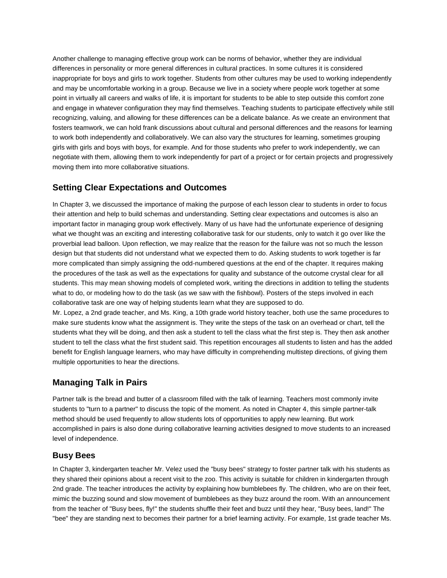Another challenge to managing effective group work can be norms of behavior, whether they are individual differences in personality or more general differences in cultural practices. In some cultures it is considered inappropriate for boys and girls to work together. Students from other cultures may be used to working independently and may be uncomfortable working in a group. Because we live in a society where people work together at some point in virtually all careers and walks of life, it is important for students to be able to step outside this comfort zone and engage in whatever configuration they may find themselves. Teaching students to participate effectively while still recognizing, valuing, and allowing for these differences can be a delicate balance. As we create an environment that fosters teamwork, we can hold frank discussions about cultural and personal differences and the reasons for learning to work both independently and collaboratively. We can also vary the structures for learning, sometimes grouping girls with girls and boys with boys, for example. And for those students who prefer to work independently, we can negotiate with them, allowing them to work independently for part of a project or for certain projects and progressively moving them into more collaborative situations.

### **Setting Clear Expectations and Outcomes**

In Chapter 3, we discussed the importance of making the purpose of each lesson clear to students in order to focus their attention and help to build schemas and understanding. Setting clear expectations and outcomes is also an important factor in managing group work effectively. Many of us have had the unfortunate experience of designing what we thought was an exciting and interesting collaborative task for our students, only to watch it go over like the proverbial lead balloon. Upon reflection, we may realize that the reason for the failure was not so much the lesson design but that students did not understand what we expected them to do. Asking students to work together is far more complicated than simply assigning the odd-numbered questions at the end of the chapter. It requires making the procedures of the task as well as the expectations for quality and substance of the outcome crystal clear for all students. This may mean showing models of completed work, writing the directions in addition to telling the students what to do, or modeling how to do the task (as we saw with the fishbowl). Posters of the steps involved in each collaborative task are one way of helping students learn what they are supposed to do.

Mr. Lopez, a 2nd grade teacher, and Ms. King, a 10th grade world history teacher, both use the same procedures to make sure students know what the assignment is. They write the steps of the task on an overhead or chart, tell the students what they will be doing, and then ask a student to tell the class what the first step is. They then ask another student to tell the class what the first student said. This repetition encourages all students to listen and has the added benefit for English language learners, who may have difficulty in comprehending multistep directions, of giving them multiple opportunities to hear the directions.

# **Managing Talk in Pairs**

Partner talk is the bread and butter of a classroom filled with the talk of learning. Teachers most commonly invite students to "turn to a partner" to discuss the topic of the moment. As noted in Chapter 4, this simple partner-talk method should be used frequently to allow students lots of opportunities to apply new learning. But work accomplished in pairs is also done during collaborative learning activities designed to move students to an increased level of independence.

### **Busy Bees**

In Chapter 3, kindergarten teacher Mr. Velez used the "busy bees" strategy to foster partner talk with his students as they shared their opinions about a recent visit to the zoo. This activity is suitable for children in kindergarten through 2nd grade. The teacher introduces the activity by explaining how bumblebees fly. The children, who are on their feet, mimic the buzzing sound and slow movement of bumblebees as they buzz around the room. With an announcement from the teacher of "Busy bees, fly!" the students shuffle their feet and buzz until they hear, "Busy bees, land!" The "bee" they are standing next to becomes their partner for a brief learning activity. For example, 1st grade teacher Ms.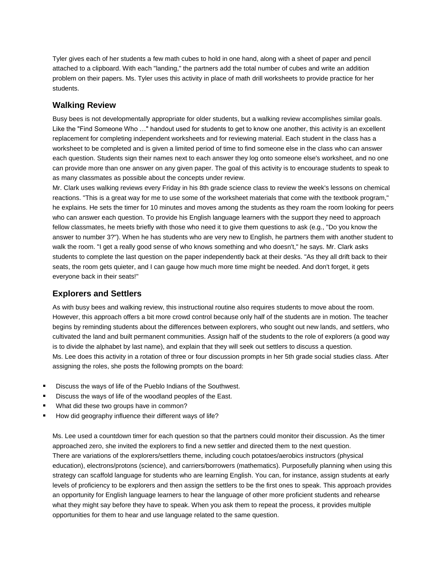Tyler gives each of her students a few math cubes to hold in one hand, along with a sheet of paper and pencil attached to a clipboard. With each "landing," the partners add the total number of cubes and write an addition problem on their papers. Ms. Tyler uses this activity in place of math drill worksheets to provide practice for her students.

### **Walking Review**

Busy bees is not developmentally appropriate for older students, but a walking review accomplishes similar goals. Like the "Find Someone Who …" handout used for students to get to know one another, this activity is an excellent replacement for completing independent worksheets and for reviewing material. Each student in the class has a worksheet to be completed and is given a limited period of time to find someone else in the class who can answer each question. Students sign their names next to each answer they log onto someone else's worksheet, and no one can provide more than one answer on any given paper. The goal of this activity is to encourage students to speak to as many classmates as possible about the concepts under review.

Mr. Clark uses walking reviews every Friday in his 8th grade science class to review the week's lessons on chemical reactions. "This is a great way for me to use some of the worksheet materials that come with the textbook program," he explains. He sets the timer for 10 minutes and moves among the students as they roam the room looking for peers who can answer each question. To provide his English language learners with the support they need to approach fellow classmates, he meets briefly with those who need it to give them questions to ask (e.g., "Do you know the answer to number 3?"). When he has students who are very new to English, he partners them with another student to walk the room. "I get a really good sense of who knows something and who doesn't," he says. Mr. Clark asks students to complete the last question on the paper independently back at their desks. "As they all drift back to their seats, the room gets quieter, and I can gauge how much more time might be needed. And don't forget, it gets everyone back in their seats!"

### **Explorers and Settlers**

As with busy bees and walking review, this instructional routine also requires students to move about the room. However, this approach offers a bit more crowd control because only half of the students are in motion. The teacher begins by reminding students about the differences between explorers, who sought out new lands, and settlers, who cultivated the land and built permanent communities. Assign half of the students to the role of explorers (a good way is to divide the alphabet by last name), and explain that they will seek out settlers to discuss a question. Ms. Lee does this activity in a rotation of three or four discussion prompts in her 5th grade social studies class. After assigning the roles, she posts the following prompts on the board:

- **EXECUTE:** Discuss the ways of life of the Pueblo Indians of the Southwest.
- **Discuss the ways of life of the woodland peoples of the East.**
- **What did these two groups have in common?**
- How did geography influence their different ways of life?

Ms. Lee used a countdown timer for each question so that the partners could monitor their discussion. As the timer approached zero, she invited the explorers to find a new settler and directed them to the next question. There are variations of the explorers/settlers theme, including couch potatoes/aerobics instructors (physical education), electrons/protons (science), and carriers/borrowers (mathematics). Purposefully planning when using this strategy can scaffold language for students who are learning English. You can, for instance, assign students at early levels of proficiency to be explorers and then assign the settlers to be the first ones to speak. This approach provides an opportunity for English language learners to hear the language of other more proficient students and rehearse what they might say before they have to speak. When you ask them to repeat the process, it provides multiple opportunities for them to hear and use language related to the same question.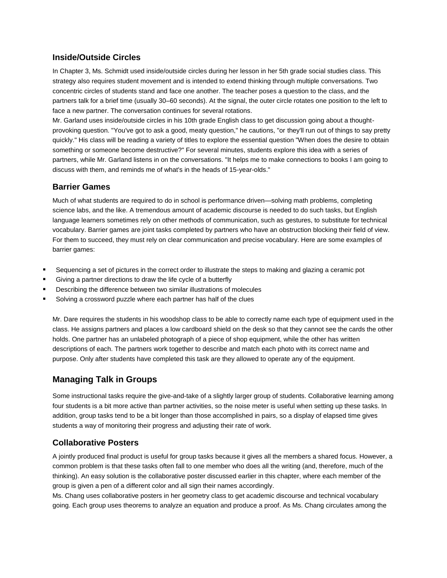### **Inside/Outside Circles**

In Chapter 3, Ms. Schmidt used inside/outside circles during her lesson in her 5th grade social studies class. This strategy also requires student movement and is intended to extend thinking through multiple conversations. Two concentric circles of students stand and face one another. The teacher poses a question to the class, and the partners talk for a brief time (usually 30–60 seconds). At the signal, the outer circle rotates one position to the left to face a new partner. The conversation continues for several rotations.

Mr. Garland uses inside/outside circles in his 10th grade English class to get discussion going about a thoughtprovoking question. "You've got to ask a good, meaty question," he cautions, "or they'll run out of things to say pretty quickly." His class will be reading a variety of titles to explore the essential question "When does the desire to obtain something or someone become destructive?" For several minutes, students explore this idea with a series of partners, while Mr. Garland listens in on the conversations. "It helps me to make connections to books I am going to discuss with them, and reminds me of what's in the heads of 15-year-olds."

### **Barrier Games**

Much of what students are required to do in school is performance driven—solving math problems, completing science labs, and the like. A tremendous amount of academic discourse is needed to do such tasks, but English language learners sometimes rely on other methods of communication, such as gestures, to substitute for technical vocabulary. Barrier games are joint tasks completed by partners who have an obstruction blocking their field of view. For them to succeed, they must rely on clear communication and precise vocabulary. Here are some examples of barrier games:

- Sequencing a set of pictures in the correct order to illustrate the steps to making and glazing a ceramic pot
- Giving a partner directions to draw the life cycle of a butterfly
- Describing the difference between two similar illustrations of molecules
- **Solving a crossword puzzle where each partner has half of the clues**

Mr. Dare requires the students in his woodshop class to be able to correctly name each type of equipment used in the class. He assigns partners and places a low cardboard shield on the desk so that they cannot see the cards the other holds. One partner has an unlabeled photograph of a piece of shop equipment, while the other has written descriptions of each. The partners work together to describe and match each photo with its correct name and purpose. Only after students have completed this task are they allowed to operate any of the equipment.

# **Managing Talk in Groups**

Some instructional tasks require the give-and-take of a slightly larger group of students. Collaborative learning among four students is a bit more active than partner activities, so the noise meter is useful when setting up these tasks. In addition, group tasks tend to be a bit longer than those accomplished in pairs, so a display of elapsed time gives students a way of monitoring their progress and adjusting their rate of work.

### **Collaborative Posters**

A jointly produced final product is useful for group tasks because it gives all the members a shared focus. However, a common problem is that these tasks often fall to one member who does all the writing (and, therefore, much of the thinking). An easy solution is the collaborative poster discussed earlier in this chapter, where each member of the group is given a pen of a different color and all sign their names accordingly.

Ms. Chang uses collaborative posters in her geometry class to get academic discourse and technical vocabulary going. Each group uses theorems to analyze an equation and produce a proof. As Ms. Chang circulates among the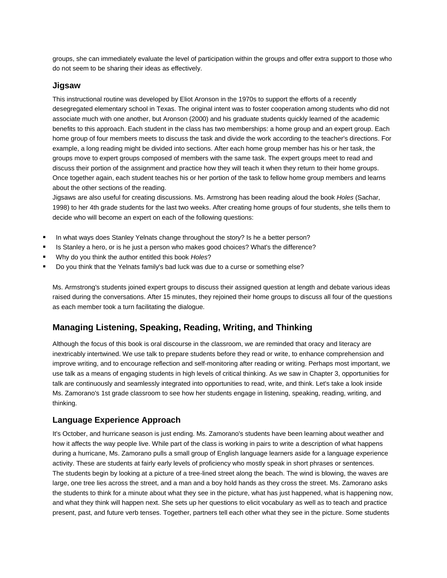groups, she can immediately evaluate the level of participation within the groups and offer extra support to those who do not seem to be sharing their ideas as effectively.

#### **Jigsaw**

This instructional routine was developed by Eliot Aronson in the 1970s to support the efforts of a recently desegregated elementary school in Texas. The original intent was to foster cooperation among students who did not associate much with one another, but Aronson (2000) and his graduate students quickly learned of the academic benefits to this approach. Each student in the class has two memberships: a home group and an expert group. Each home group of four members meets to discuss the task and divide the work according to the teacher's directions. For example, a long reading might be divided into sections. After each home group member has his or her task, the groups move to expert groups composed of members with the same task. The expert groups meet to read and discuss their portion of the assignment and practice how they will teach it when they return to their home groups. Once together again, each student teaches his or her portion of the task to fellow home group members and learns about the other sections of the reading.

Jigsaws are also useful for creating discussions. Ms. Armstrong has been reading aloud the book *Holes* (Sachar, 1998) to her 4th grade students for the last two weeks. After creating home groups of four students, she tells them to decide who will become an expert on each of the following questions:

- In what ways does Stanley Yelnats change throughout the story? Is he a better person?
- Is Stanley a hero, or is he just a person who makes good choices? What's the difference?
- Why do you think the author entitled this book *Holes*?
- Do you think that the Yelnats family's bad luck was due to a curse or something else?

Ms. Armstrong's students joined expert groups to discuss their assigned question at length and debate various ideas raised during the conversations. After 15 minutes, they rejoined their home groups to discuss all four of the questions as each member took a turn facilitating the dialogue.

### **Managing Listening, Speaking, Reading, Writing, and Thinking**

Although the focus of this book is oral discourse in the classroom, we are reminded that oracy and literacy are inextricably intertwined. We use talk to prepare students before they read or write, to enhance comprehension and improve writing, and to encourage reflection and self-monitoring after reading or writing. Perhaps most important, we use talk as a means of engaging students in high levels of critical thinking. As we saw in Chapter 3, opportunities for talk are continuously and seamlessly integrated into opportunities to read, write, and think. Let's take a look inside Ms. Zamorano's 1st grade classroom to see how her students engage in listening, speaking, reading, writing, and thinking.

#### **Language Experience Approach**

It's October, and hurricane season is just ending. Ms. Zamorano's students have been learning about weather and how it affects the way people live. While part of the class is working in pairs to write a description of what happens during a hurricane, Ms. Zamorano pulls a small group of English language learners aside for a language experience activity. These are students at fairly early levels of proficiency who mostly speak in short phrases or sentences. The students begin by looking at a picture of a tree-lined street along the beach. The wind is blowing, the waves are large, one tree lies across the street, and a man and a boy hold hands as they cross the street. Ms. Zamorano asks the students to think for a minute about what they see in the picture, what has just happened, what is happening now, and what they think will happen next. She sets up her questions to elicit vocabulary as well as to teach and practice present, past, and future verb tenses. Together, partners tell each other what they see in the picture. Some students